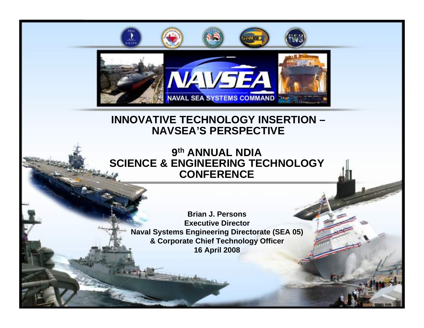

## **INNOVATIVE TECHNOLOGY INSERTION – NAVSEA'S PERSPECTIVE**

### **9th ANNUAL NDIA SCIENCE & ENGINEERING TECHNOLOGY CONFERENCE**

**Brian J. PersonsExecutive Director Naval Systems Engineering Directorate (SEA 05) & Corporate Chief Technology Officer 16 April 2008**

**1**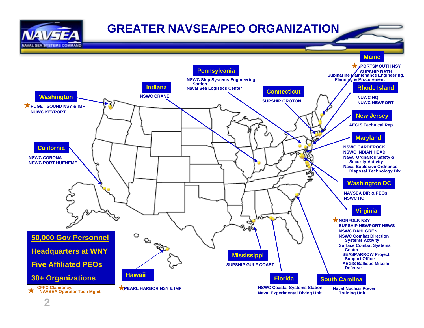

## **GREATER NAVSEA/PEO ORGANIZATION**

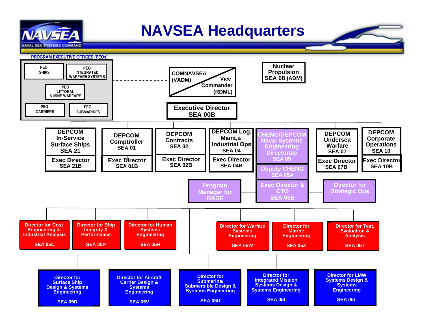

# **NAVSEA Headquarters**



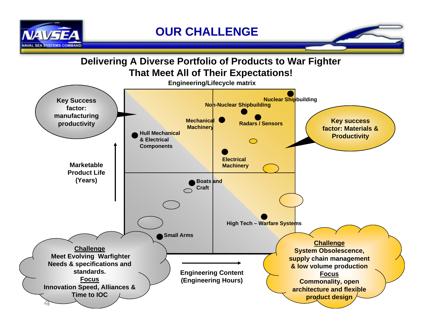

### **Delivering A Diverse Portfolio of Products to War Fighter That Meet All of Their Expectations!**